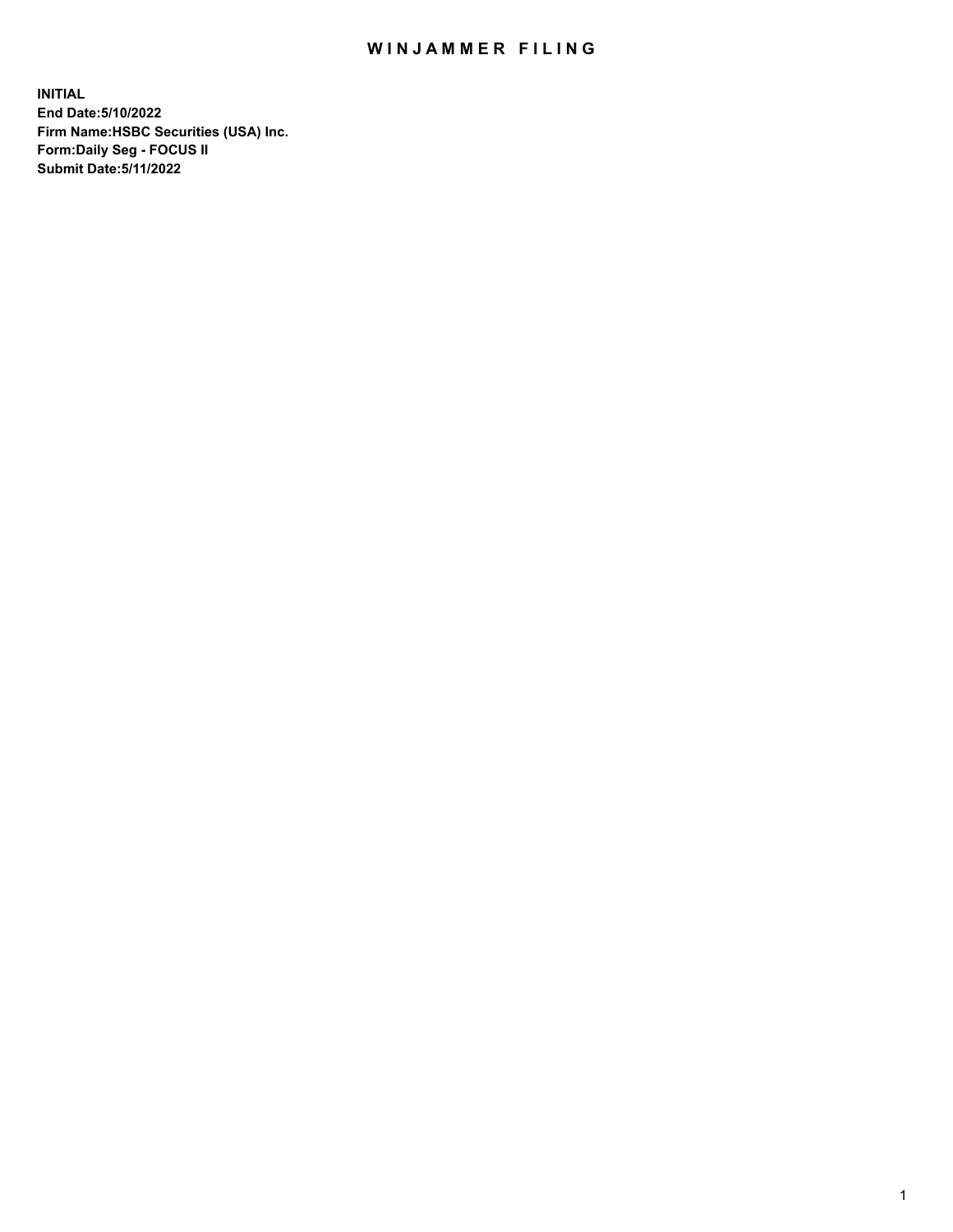## WIN JAMMER FILING

**INITIAL End Date:5/10/2022 Firm Name:HSBC Securities (USA) Inc. Form:Daily Seg - FOCUS II Submit Date:5/11/2022**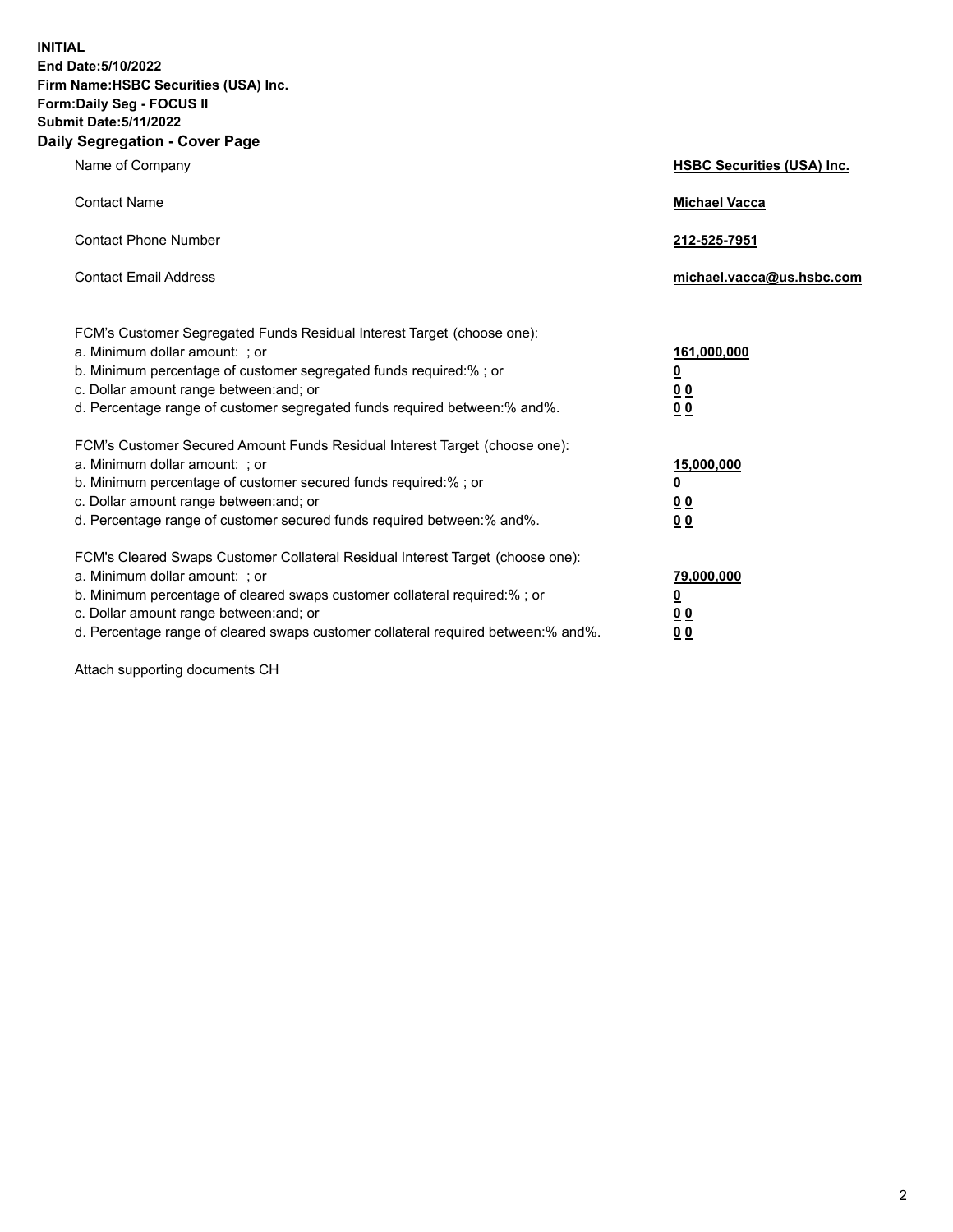**INITIAL End Date:5/10/2022 Firm Name:HSBC Securities (USA) Inc. Form:Daily Seg - FOCUS II Submit Date:5/11/2022 Daily Segregation - Cover Page**

| Name of Company                                                                                                                                                                                                                                                                                                                | <b>HSBC Securities (USA) Inc.</b>                                           |
|--------------------------------------------------------------------------------------------------------------------------------------------------------------------------------------------------------------------------------------------------------------------------------------------------------------------------------|-----------------------------------------------------------------------------|
| <b>Contact Name</b>                                                                                                                                                                                                                                                                                                            | <b>Michael Vacca</b>                                                        |
| <b>Contact Phone Number</b>                                                                                                                                                                                                                                                                                                    | 212-525-7951                                                                |
| <b>Contact Email Address</b>                                                                                                                                                                                                                                                                                                   | michael.vacca@us.hsbc.com                                                   |
| FCM's Customer Segregated Funds Residual Interest Target (choose one):<br>a. Minimum dollar amount: ; or<br>b. Minimum percentage of customer segregated funds required:% ; or<br>c. Dollar amount range between: and; or<br>d. Percentage range of customer segregated funds required between:% and%.                         | 161,000,000<br>$\underline{\mathbf{0}}$<br>0 <sub>0</sub><br>0 <sub>0</sub> |
| FCM's Customer Secured Amount Funds Residual Interest Target (choose one):<br>a. Minimum dollar amount: ; or<br>b. Minimum percentage of customer secured funds required:% ; or<br>c. Dollar amount range between: and; or<br>d. Percentage range of customer secured funds required between: % and %.                         | 15,000,000<br><u>0</u><br>0 <sub>0</sub><br>0 <sub>0</sub>                  |
| FCM's Cleared Swaps Customer Collateral Residual Interest Target (choose one):<br>a. Minimum dollar amount: ; or<br>b. Minimum percentage of cleared swaps customer collateral required:% ; or<br>c. Dollar amount range between: and; or<br>d. Percentage range of cleared swaps customer collateral required between:% and%. | 79,000,000<br><u>0</u><br>00<br>00                                          |

Attach supporting documents CH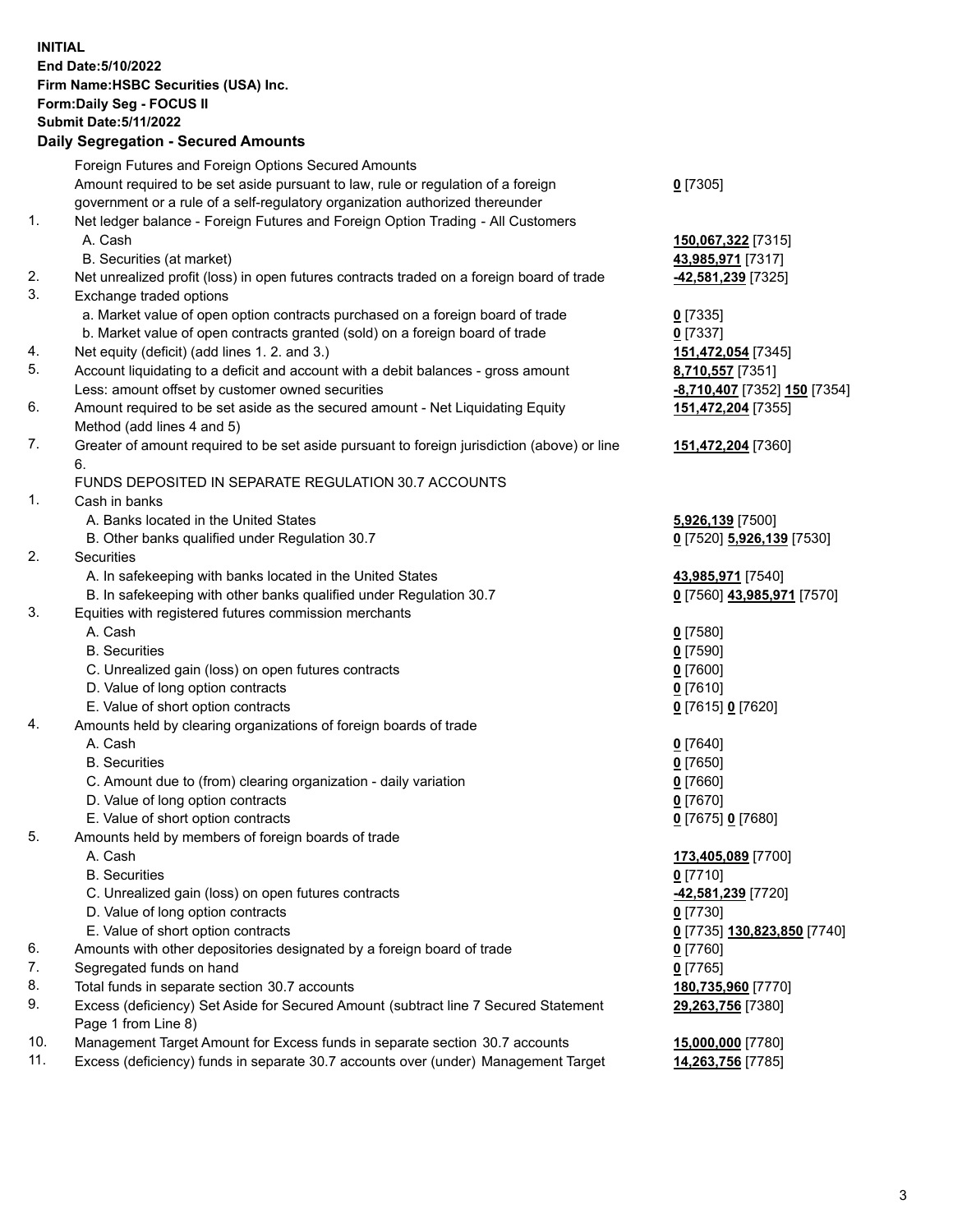**INITIAL End Date:5/10/2022 Firm Name:HSBC Securities (USA) Inc. Form:Daily Seg - FOCUS II Submit Date:5/11/2022 Daily Segregation - Secured Amounts** Foreign Futures and Foreign Options Secured Amounts Amount required to be set aside pursuant to law, rule or regulation of a foreign government or a rule of a self-regulatory organization authorized thereunder 1. Net ledger balance - Foreign Futures and Foreign Option Trading - All Customers A. Cash **150,067,322** [7315] B. Securities (at market) **43,985,971** [7317] 2. Net unrealized profit (loss) in open futures contracts traded on a foreign board of trade **-42,581,239** [7325] 3. Exchange traded options a. Market value of open option contracts purchased on a foreign board of trade **0** [7335] b. Market value of open contracts granted (sold) on a foreign board of trade **0** [7337] 4. Net equity (deficit) (add lines 1. 2. and 3.) **151,472,054** [7345] 5. Account liquidating to a deficit and account with a debit balances - gross amount **8,710,557** [7351] Less: amount offset by customer owned securities **-8,710,407** [7352] **150** [7354] 6. Amount required to be set aside as the secured amount - Net Liquidating Equity Method (add lines 4 and 5) 7. Greater of amount required to be set aside pursuant to foreign jurisdiction (above) or line 6. FUNDS DEPOSITED IN SEPARATE REGULATION 30.7 ACCOUNTS 1. Cash in banks A. Banks located in the United States **5,926,139** [7500] B. Other banks qualified under Regulation 30.7 **0** [7520] **5,926,139** [7530] 2. Securities A. In safekeeping with banks located in the United States **43,985,971** [7540] B. In safekeeping with other banks qualified under Regulation 30.7 **0** [7560] **43,985,971** [7570]

- 3. Equities with registered futures commission merchants
	- A. Cash **0** [7580]
	- B. Securities **0** [7590]
	- C. Unrealized gain (loss) on open futures contracts **0** [7600]
	- D. Value of long option contracts **0** [7610]
	- E. Value of short option contracts **0** [7615] **0** [7620]
- 4. Amounts held by clearing organizations of foreign boards of trade
	- A. Cash **0** [7640]
	- B. Securities **0** [7650]
	- C. Amount due to (from) clearing organization daily variation **0** [7660]
	- D. Value of long option contracts **0** [7670]
	- E. Value of short option contracts **0** [7675] **0** [7680]
- 5. Amounts held by members of foreign boards of trade
	-
	- B. Securities **0** [7710]
	- C. Unrealized gain (loss) on open futures contracts **-42,581,239** [7720]
	- D. Value of long option contracts **0** [7730]
	- E. Value of short option contracts **0** [7735] **130,823,850** [7740]
- 6. Amounts with other depositories designated by a foreign board of trade **0** [7760]
- 7. Segregated funds on hand **0** [7765]
- 8. Total funds in separate section 30.7 accounts **180,735,960** [7770]
- 9. Excess (deficiency) Set Aside for Secured Amount (subtract line 7 Secured Statement Page 1 from Line 8)
- 10. Management Target Amount for Excess funds in separate section 30.7 accounts **15,000,000** [7780]
- 11. Excess (deficiency) funds in separate 30.7 accounts over (under) Management Target **14,263,756** [7785]

**0** [7305]

**151,472,204** [7355]

**151,472,204** [7360]

 A. Cash **173,405,089** [7700] **29,263,756** [7380]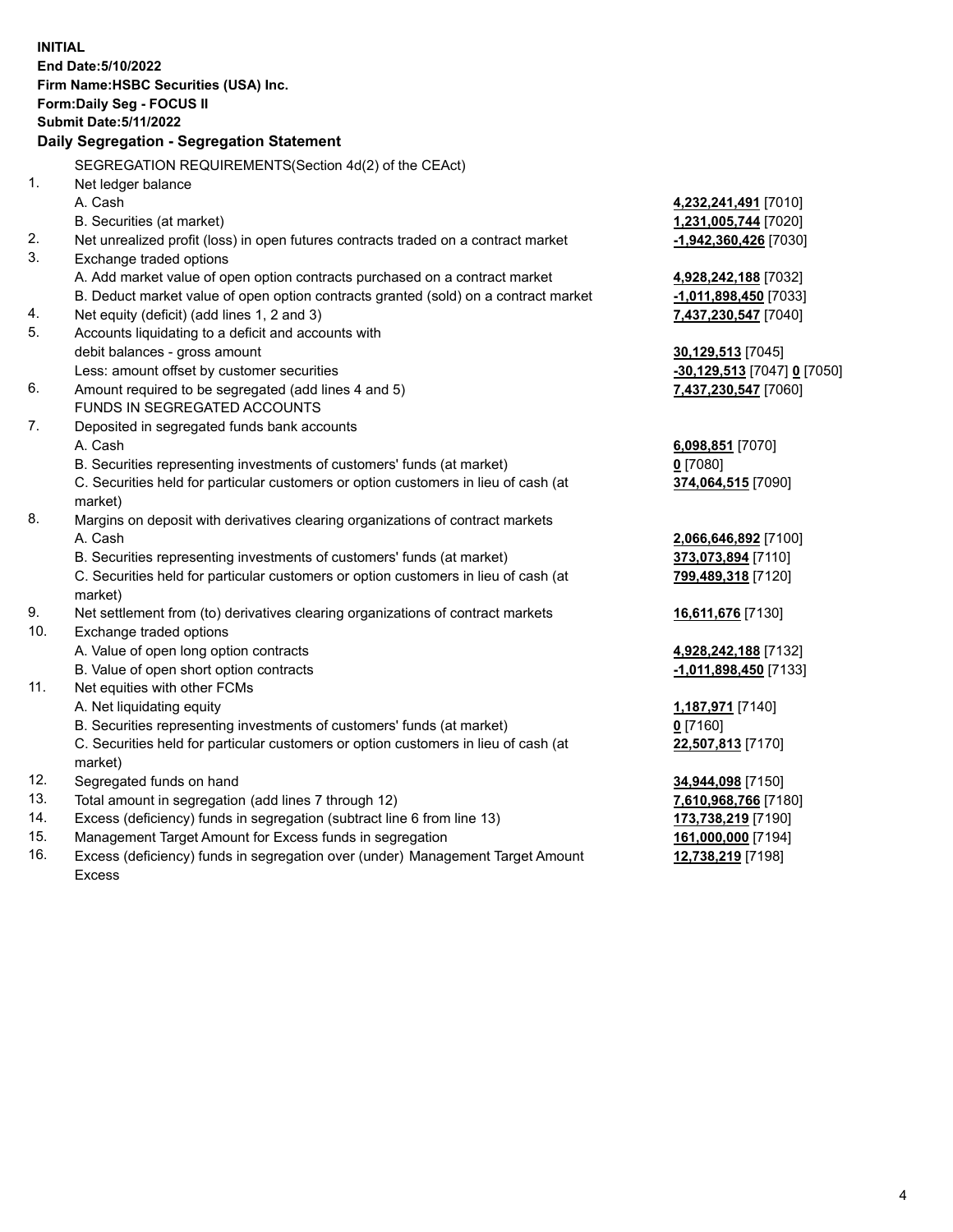**INITIAL End Date:5/10/2022 Firm Name:HSBC Securities (USA) Inc. Form:Daily Seg - FOCUS II Submit Date:5/11/2022 Daily Segregation - Segregation Statement** SEGREGATION REQUIREMENTS(Section 4d(2) of the CEAct) 1. Net ledger balance A. Cash **4,232,241,491** [7010] B. Securities (at market) **1,231,005,744** [7020] 2. Net unrealized profit (loss) in open futures contracts traded on a contract market **-1,942,360,426** [7030] 3. Exchange traded options A. Add market value of open option contracts purchased on a contract market **4,928,242,188** [7032] B. Deduct market value of open option contracts granted (sold) on a contract market **-1,011,898,450** [7033] 4. Net equity (deficit) (add lines 1, 2 and 3) **7,437,230,547** [7040] 5. Accounts liquidating to a deficit and accounts with debit balances - gross amount **30,129,513** [7045] Less: amount offset by customer securities **-30,129,513** [7047] **0** [7050] 6. Amount required to be segregated (add lines 4 and 5) **7,437,230,547** [7060] FUNDS IN SEGREGATED ACCOUNTS 7. Deposited in segregated funds bank accounts A. Cash **6,098,851** [7070] B. Securities representing investments of customers' funds (at market) **0** [7080] C. Securities held for particular customers or option customers in lieu of cash (at market) **374,064,515** [7090] 8. Margins on deposit with derivatives clearing organizations of contract markets A. Cash **2,066,646,892** [7100] B. Securities representing investments of customers' funds (at market) **373,073,894** [7110] C. Securities held for particular customers or option customers in lieu of cash (at market) **799,489,318** [7120] 9. Net settlement from (to) derivatives clearing organizations of contract markets **16,611,676** [7130] 10. Exchange traded options A. Value of open long option contracts **4,928,242,188** [7132] B. Value of open short option contracts **-1,011,898,450** [7133] 11. Net equities with other FCMs A. Net liquidating equity **1,187,971** [7140] B. Securities representing investments of customers' funds (at market) **0** [7160] C. Securities held for particular customers or option customers in lieu of cash (at market) **22,507,813** [7170] 12. Segregated funds on hand **34,944,098** [7150] 13. Total amount in segregation (add lines 7 through 12) **7,610,968,766** [7180] 14. Excess (deficiency) funds in segregation (subtract line 6 from line 13) **173,738,219** [7190] 15. Management Target Amount for Excess funds in segregation **161,000,000** [7194] 16. Excess (deficiency) funds in segregation over (under) Management Target Amount **12,738,219** [7198]

Excess